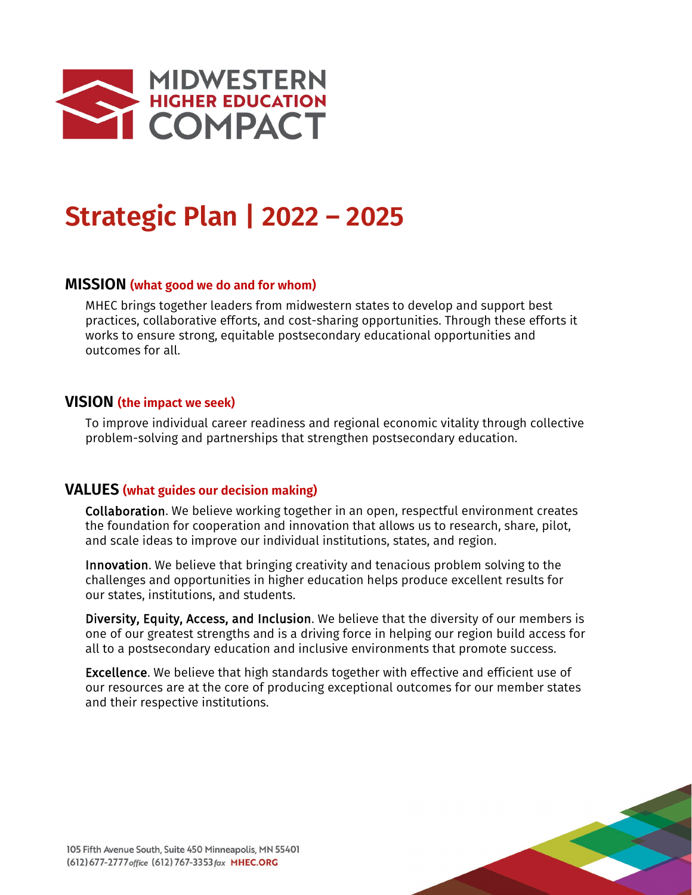

# **Strategic Plan | 2022 – 2025**

## **MISSION (what good we do and for whom)**

MHEC brings together leaders from midwestern states to develop and support best practices, collaborative efforts, and cost-sharing opportunities. Through these efforts it works to ensure strong, equitable postsecondary educational opportunities and outcomes for all.

#### **VISION (the impact we seek)**

To improve individual career readiness and regional economic vitality through collective problem-solving and partnerships that strengthen postsecondary education.

#### **VALUES (what guides our decision making)**

Collaboration. We believe working together in an open, respectful environment creates the foundation for cooperation and innovation that allows us to research, share, pilot, and scale ideas to improve our individual institutions, states, and region.

Innovation. We believe that bringing creativity and tenacious problem solving to the challenges and opportunities in higher education helps produce excellent results for our states, institutions, and students.

Diversity, Equity, Access, and Inclusion. We believe that the diversity of our members is one of our greatest strengths and is a driving force in helping our region build access for all to a postsecondary education and inclusive environments that promote success.

Excellence. We believe that high standards together with effective and efficient use of our resources are at the core of producing exceptional outcomes for our member states and their respective institutions.